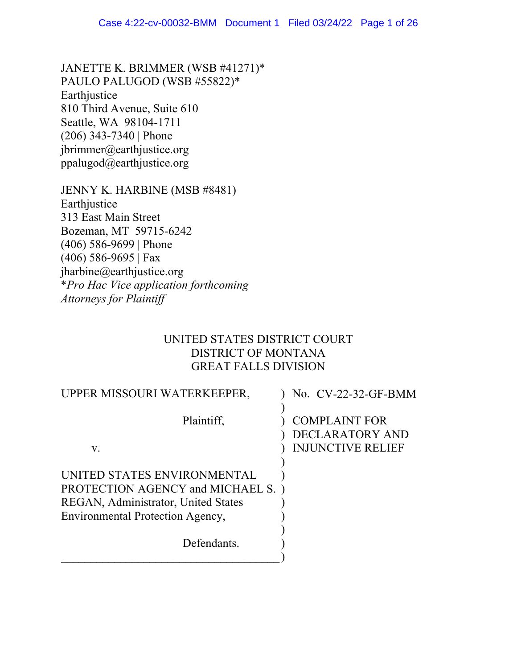JANETTE K. BRIMMER (WSB #41271)\* PAULO PALUGOD (WSB #55822)\* Earthjustice 810 Third Avenue, Suite 610 Seattle, WA 98104-1711 (206) 343-7340 | Phone jbrimmer@earthjustice.org ppalugod@earthjustice.org

JENNY K. HARBINE (MSB #8481) Earthjustice 313 East Main Street Bozeman, MT 59715-6242 (406) 586-9699 | Phone (406) 586-9695 | Fax jharbine@earthjustice.org \**Pro Hac Vice application forthcoming Attorneys for Plaintiff*

# UNITED STATES DISTRICT COURT DISTRICT OF MONTANA GREAT FALLS DIVISION

| UPPER MISSOURI WATERKEEPER,         | No. CV-22-32-GF-BMM      |
|-------------------------------------|--------------------------|
|                                     |                          |
| Plaintiff,                          | <b>COMPLAINT FOR</b>     |
|                                     | DECLARATORY AND          |
| V.                                  | <b>INJUNCTIVE RELIEF</b> |
|                                     |                          |
| UNITED STATES ENVIRONMENTAL         |                          |
| PROTECTION AGENCY and MICHAEL S.)   |                          |
| REGAN, Administrator, United States |                          |
| Environmental Protection Agency,    |                          |
|                                     |                          |
| Defendants.                         |                          |
|                                     |                          |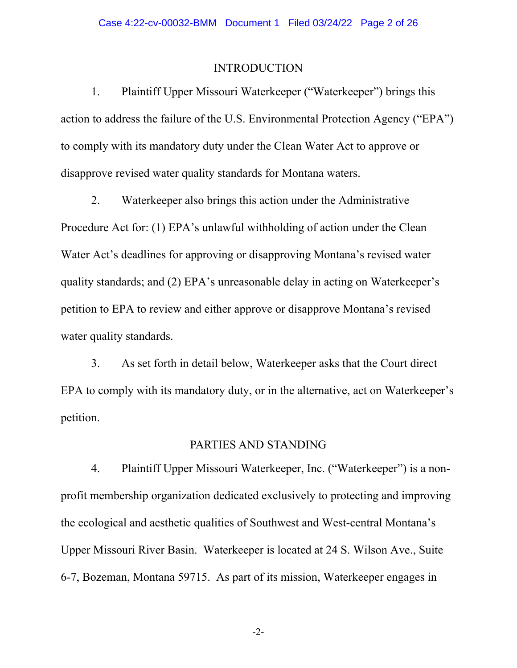## INTRODUCTION

1. Plaintiff Upper Missouri Waterkeeper ("Waterkeeper") brings this action to address the failure of the U.S. Environmental Protection Agency ("EPA") to comply with its mandatory duty under the Clean Water Act to approve or disapprove revised water quality standards for Montana waters.

2. Waterkeeper also brings this action under the Administrative Procedure Act for: (1) EPA's unlawful withholding of action under the Clean Water Act's deadlines for approving or disapproving Montana's revised water quality standards; and (2) EPA's unreasonable delay in acting on Waterkeeper's petition to EPA to review and either approve or disapprove Montana's revised water quality standards.

3. As set forth in detail below, Waterkeeper asks that the Court direct EPA to comply with its mandatory duty, or in the alternative, act on Waterkeeper's petition.

## PARTIES AND STANDING

4. Plaintiff Upper Missouri Waterkeeper, Inc. ("Waterkeeper") is a nonprofit membership organization dedicated exclusively to protecting and improving the ecological and aesthetic qualities of Southwest and West-central Montana's Upper Missouri River Basin. Waterkeeper is located at 24 S. Wilson Ave., Suite 6-7, Bozeman, Montana 59715. As part of its mission, Waterkeeper engages in

-2-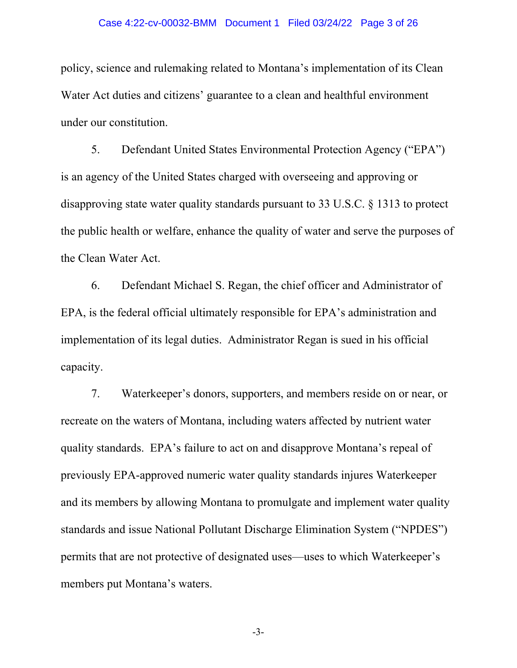### Case 4:22-cv-00032-BMM Document 1 Filed 03/24/22 Page 3 of 26

policy, science and rulemaking related to Montana's implementation of its Clean Water Act duties and citizens' guarantee to a clean and healthful environment under our constitution.

5. Defendant United States Environmental Protection Agency ("EPA") is an agency of the United States charged with overseeing and approving or disapproving state water quality standards pursuant to 33 U.S.C. § 1313 to protect the public health or welfare, enhance the quality of water and serve the purposes of the Clean Water Act.

6. Defendant Michael S. Regan, the chief officer and Administrator of EPA, is the federal official ultimately responsible for EPA's administration and implementation of its legal duties. Administrator Regan is sued in his official capacity.

7. Waterkeeper's donors, supporters, and members reside on or near, or recreate on the waters of Montana, including waters affected by nutrient water quality standards. EPA's failure to act on and disapprove Montana's repeal of previously EPA-approved numeric water quality standards injures Waterkeeper and its members by allowing Montana to promulgate and implement water quality standards and issue National Pollutant Discharge Elimination System ("NPDES") permits that are not protective of designated uses—uses to which Waterkeeper's members put Montana's waters.

-3-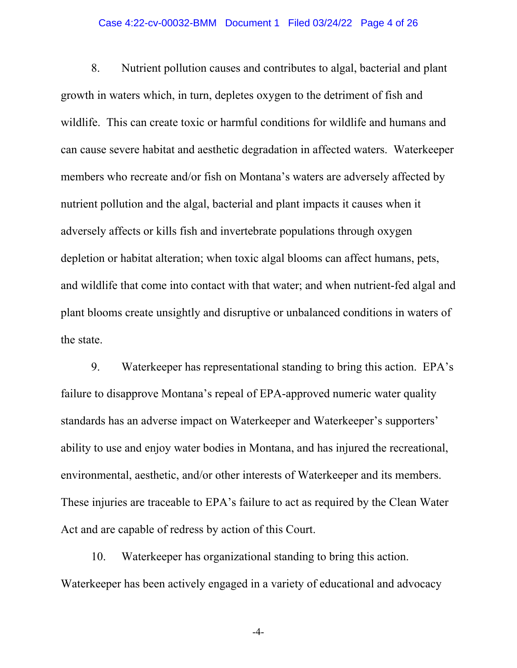### Case 4:22-cv-00032-BMM Document 1 Filed 03/24/22 Page 4 of 26

8. Nutrient pollution causes and contributes to algal, bacterial and plant growth in waters which, in turn, depletes oxygen to the detriment of fish and wildlife. This can create toxic or harmful conditions for wildlife and humans and can cause severe habitat and aesthetic degradation in affected waters. Waterkeeper members who recreate and/or fish on Montana's waters are adversely affected by nutrient pollution and the algal, bacterial and plant impacts it causes when it adversely affects or kills fish and invertebrate populations through oxygen depletion or habitat alteration; when toxic algal blooms can affect humans, pets, and wildlife that come into contact with that water; and when nutrient-fed algal and plant blooms create unsightly and disruptive or unbalanced conditions in waters of the state.

9. Waterkeeper has representational standing to bring this action. EPA's failure to disapprove Montana's repeal of EPA-approved numeric water quality standards has an adverse impact on Waterkeeper and Waterkeeper's supporters' ability to use and enjoy water bodies in Montana, and has injured the recreational, environmental, aesthetic, and/or other interests of Waterkeeper and its members. These injuries are traceable to EPA's failure to act as required by the Clean Water Act and are capable of redress by action of this Court.

10. Waterkeeper has organizational standing to bring this action. Waterkeeper has been actively engaged in a variety of educational and advocacy

-4-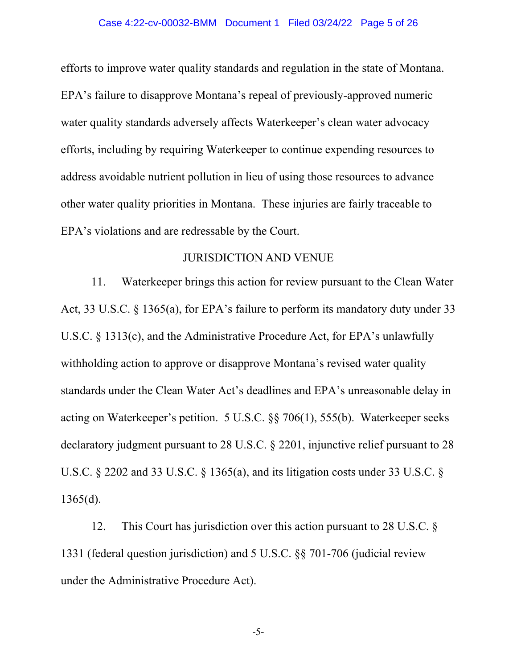### Case 4:22-cv-00032-BMM Document 1 Filed 03/24/22 Page 5 of 26

efforts to improve water quality standards and regulation in the state of Montana. EPA's failure to disapprove Montana's repeal of previously-approved numeric water quality standards adversely affects Waterkeeper's clean water advocacy efforts, including by requiring Waterkeeper to continue expending resources to address avoidable nutrient pollution in lieu of using those resources to advance other water quality priorities in Montana. These injuries are fairly traceable to EPA's violations and are redressable by the Court.

## JURISDICTION AND VENUE

11. Waterkeeper brings this action for review pursuant to the Clean Water Act, 33 U.S.C. § 1365(a), for EPA's failure to perform its mandatory duty under 33 U.S.C. § 1313(c), and the Administrative Procedure Act, for EPA's unlawfully withholding action to approve or disapprove Montana's revised water quality standards under the Clean Water Act's deadlines and EPA's unreasonable delay in acting on Waterkeeper's petition. 5 U.S.C. §§ 706(1), 555(b). Waterkeeper seeks declaratory judgment pursuant to 28 U.S.C. § 2201, injunctive relief pursuant to 28 U.S.C. § 2202 and 33 U.S.C. § 1365(a), and its litigation costs under 33 U.S.C. § 1365(d).

12. This Court has jurisdiction over this action pursuant to 28 U.S.C. § 1331 (federal question jurisdiction) and 5 U.S.C. §§ 701-706 (judicial review under the Administrative Procedure Act).

-5-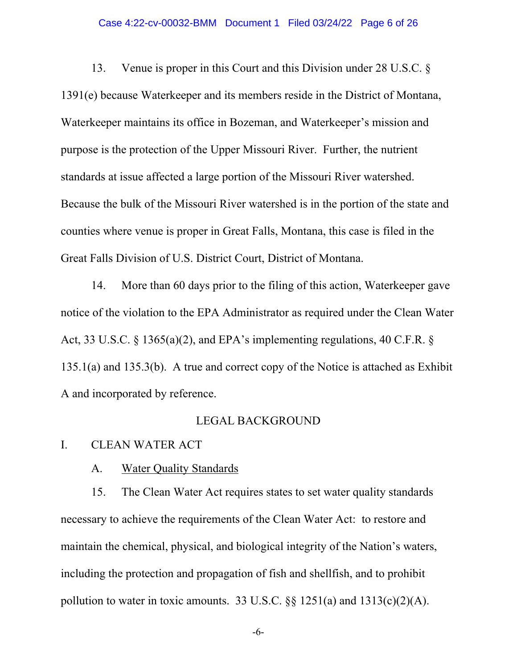### Case 4:22-cv-00032-BMM Document 1 Filed 03/24/22 Page 6 of 26

13. Venue is proper in this Court and this Division under 28 U.S.C. § 1391(e) because Waterkeeper and its members reside in the District of Montana, Waterkeeper maintains its office in Bozeman, and Waterkeeper's mission and purpose is the protection of the Upper Missouri River. Further, the nutrient standards at issue affected a large portion of the Missouri River watershed. Because the bulk of the Missouri River watershed is in the portion of the state and counties where venue is proper in Great Falls, Montana, this case is filed in the Great Falls Division of U.S. District Court, District of Montana.

14. More than 60 days prior to the filing of this action, Waterkeeper gave notice of the violation to the EPA Administrator as required under the Clean Water Act, 33 U.S.C. § 1365(a)(2), and EPA's implementing regulations, 40 C.F.R. § 135.1(a) and 135.3(b). A true and correct copy of the Notice is attached as Exhibit A and incorporated by reference.

## LEGAL BACKGROUND

## I. CLEAN WATER ACT

A. Water Quality Standards

15. The Clean Water Act requires states to set water quality standards necessary to achieve the requirements of the Clean Water Act: to restore and maintain the chemical, physical, and biological integrity of the Nation's waters, including the protection and propagation of fish and shellfish, and to prohibit pollution to water in toxic amounts. 33 U.S.C.  $\S$ § 1251(a) and 1313(c)(2)(A).

-6-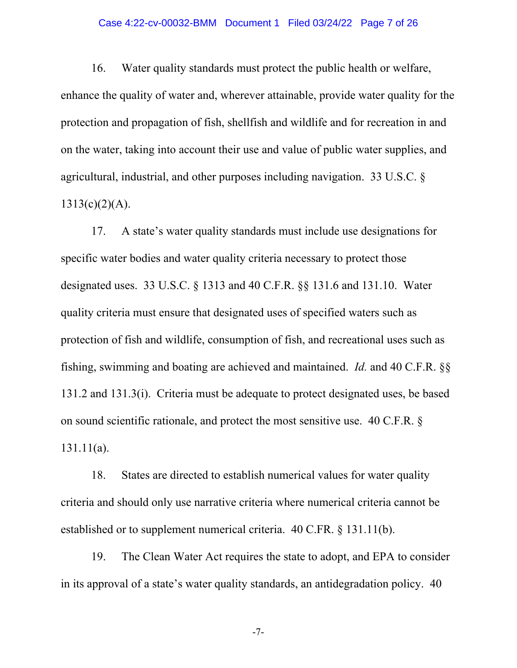### Case 4:22-cv-00032-BMM Document 1 Filed 03/24/22 Page 7 of 26

16. Water quality standards must protect the public health or welfare, enhance the quality of water and, wherever attainable, provide water quality for the protection and propagation of fish, shellfish and wildlife and for recreation in and on the water, taking into account their use and value of public water supplies, and agricultural, industrial, and other purposes including navigation. 33 U.S.C. §  $1313(c)(2)(A)$ .

17. A state's water quality standards must include use designations for specific water bodies and water quality criteria necessary to protect those designated uses. 33 U.S.C. § 1313 and 40 C.F.R. §§ 131.6 and 131.10. Water quality criteria must ensure that designated uses of specified waters such as protection of fish and wildlife, consumption of fish, and recreational uses such as fishing, swimming and boating are achieved and maintained. *Id.* and 40 C.F.R. §§ 131.2 and 131.3(i). Criteria must be adequate to protect designated uses, be based on sound scientific rationale, and protect the most sensitive use. 40 C.F.R. § 131.11(a).

18. States are directed to establish numerical values for water quality criteria and should only use narrative criteria where numerical criteria cannot be established or to supplement numerical criteria. 40 C.FR. § 131.11(b).

19. The Clean Water Act requires the state to adopt, and EPA to consider in its approval of a state's water quality standards, an antidegradation policy. 40

-7-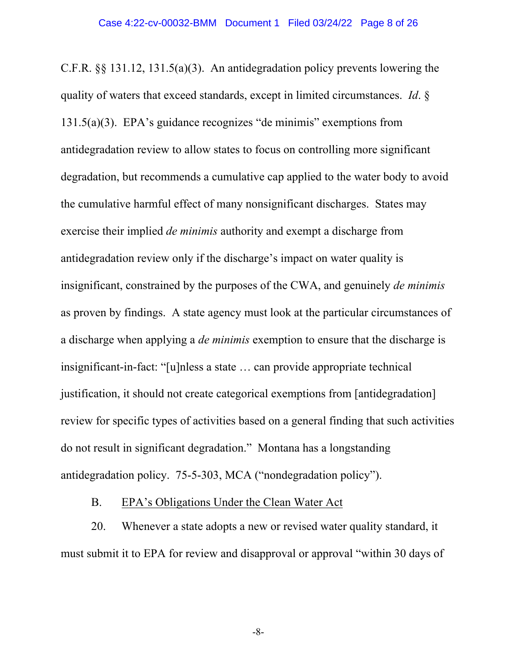C.F.R. §§ 131.12, 131.5(a)(3). An antidegradation policy prevents lowering the quality of waters that exceed standards, except in limited circumstances. *Id*. § 131.5(a)(3). EPA's guidance recognizes "de minimis" exemptions from antidegradation review to allow states to focus on controlling more significant degradation, but recommends a cumulative cap applied to the water body to avoid the cumulative harmful effect of many nonsignificant discharges. States may exercise their implied *de minimis* authority and exempt a discharge from antidegradation review only if the discharge's impact on water quality is insignificant, constrained by the purposes of the CWA, and genuinely *de minimis* as proven by findings. A state agency must look at the particular circumstances of a discharge when applying a *de minimis* exemption to ensure that the discharge is insignificant-in-fact: "[u]nless a state … can provide appropriate technical justification, it should not create categorical exemptions from [antidegradation] review for specific types of activities based on a general finding that such activities do not result in significant degradation." Montana has a longstanding antidegradation policy. 75-5-303, MCA ("nondegradation policy").

## B. EPA's Obligations Under the Clean Water Act

20. Whenever a state adopts a new or revised water quality standard, it must submit it to EPA for review and disapproval or approval "within 30 days of

-8-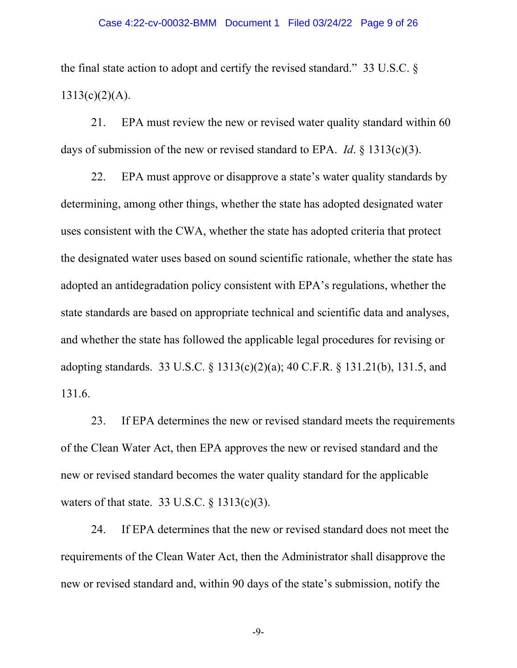the final state action to adopt and certify the revised standard." 33 U.S.C. §  $1313(c)(2)(A)$ .

21. EPA must review the new or revised water quality standard within 60 days of submission of the new or revised standard to EPA. *Id*. § 1313(c)(3).

22. EPA must approve or disapprove a state's water quality standards by determining, among other things, whether the state has adopted designated water uses consistent with the CWA, whether the state has adopted criteria that protect the designated water uses based on sound scientific rationale, whether the state has adopted an antidegradation policy consistent with EPA's regulations, whether the state standards are based on appropriate technical and scientific data and analyses, and whether the state has followed the applicable legal procedures for revising or adopting standards. 33 U.S.C. § 1313(c)(2)(a); 40 C.F.R. § 131.21(b), 131.5, and 131.6.

23. If EPA determines the new or revised standard meets the requirements of the Clean Water Act, then EPA approves the new or revised standard and the new or revised standard becomes the water quality standard for the applicable waters of that state. 33 U.S.C.  $\S$  1313(c)(3).

24. If EPA determines that the new or revised standard does not meet the requirements of the Clean Water Act, then the Administrator shall disapprove the new or revised standard and, within 90 days of the state's submission, notify the

-9-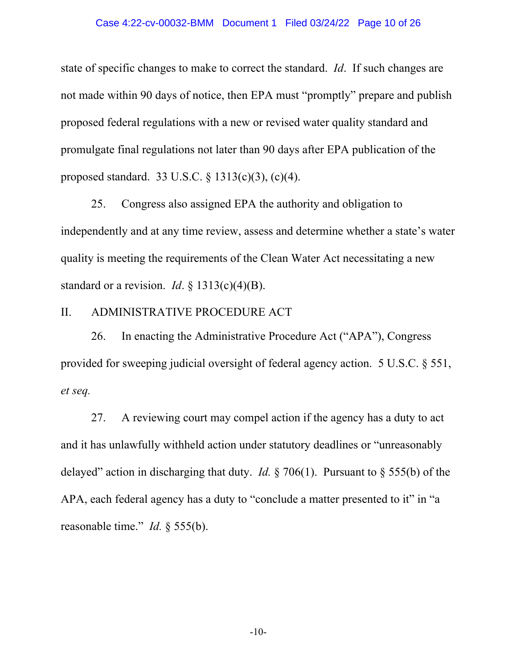### Case 4:22-cv-00032-BMM Document 1 Filed 03/24/22 Page 10 of 26

state of specific changes to make to correct the standard. *Id*. If such changes are not made within 90 days of notice, then EPA must "promptly" prepare and publish proposed federal regulations with a new or revised water quality standard and promulgate final regulations not later than 90 days after EPA publication of the proposed standard. 33 U.S.C. § 1313(c)(3), (c)(4).

25. Congress also assigned EPA the authority and obligation to independently and at any time review, assess and determine whether a state's water quality is meeting the requirements of the Clean Water Act necessitating a new standard or a revision. *Id*. § 1313(c)(4)(B).

## II. ADMINISTRATIVE PROCEDURE ACT

26. In enacting the Administrative Procedure Act ("APA"), Congress provided for sweeping judicial oversight of federal agency action. 5 U.S.C. § 551, *et seq.*

27. A reviewing court may compel action if the agency has a duty to act and it has unlawfully withheld action under statutory deadlines or "unreasonably delayed" action in discharging that duty. *Id.* § 706(1). Pursuant to § 555(b) of the APA, each federal agency has a duty to "conclude a matter presented to it" in "a reasonable time." *Id.* § 555(b).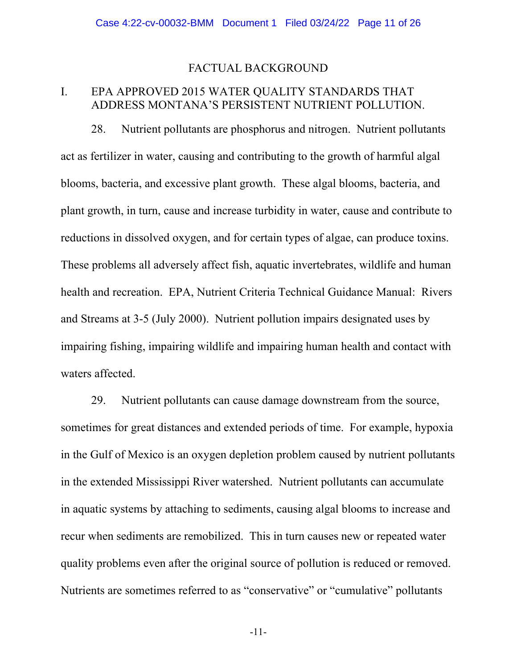## FACTUAL BACKGROUND

## I. EPA APPROVED 2015 WATER QUALITY STANDARDS THAT ADDRESS MONTANA'S PERSISTENT NUTRIENT POLLUTION.

28. Nutrient pollutants are phosphorus and nitrogen. Nutrient pollutants act as fertilizer in water, causing and contributing to the growth of harmful algal blooms, bacteria, and excessive plant growth. These algal blooms, bacteria, and plant growth, in turn, cause and increase turbidity in water, cause and contribute to reductions in dissolved oxygen, and for certain types of algae, can produce toxins. These problems all adversely affect fish, aquatic invertebrates, wildlife and human health and recreation. EPA, Nutrient Criteria Technical Guidance Manual: Rivers and Streams at 3-5 (July 2000). Nutrient pollution impairs designated uses by impairing fishing, impairing wildlife and impairing human health and contact with waters affected.

29. Nutrient pollutants can cause damage downstream from the source, sometimes for great distances and extended periods of time. For example, hypoxia in the Gulf of Mexico is an oxygen depletion problem caused by nutrient pollutants in the extended Mississippi River watershed. Nutrient pollutants can accumulate in aquatic systems by attaching to sediments, causing algal blooms to increase and recur when sediments are remobilized. This in turn causes new or repeated water quality problems even after the original source of pollution is reduced or removed. Nutrients are sometimes referred to as "conservative" or "cumulative" pollutants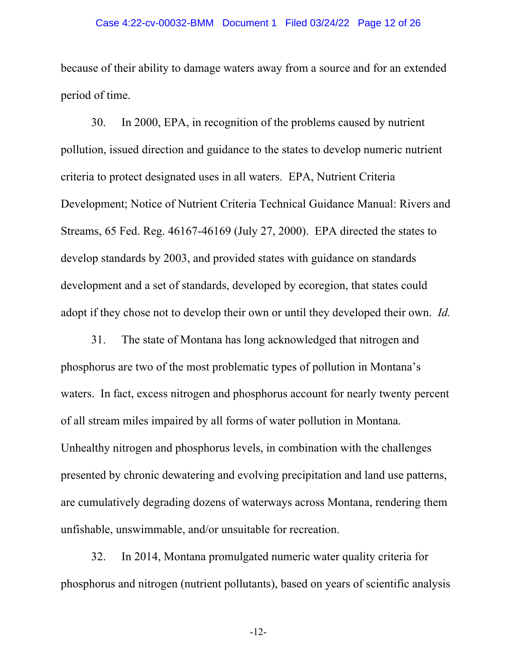### Case 4:22-cv-00032-BMM Document 1 Filed 03/24/22 Page 12 of 26

because of their ability to damage waters away from a source and for an extended period of time.

30. In 2000, EPA, in recognition of the problems caused by nutrient pollution, issued direction and guidance to the states to develop numeric nutrient criteria to protect designated uses in all waters. EPA, Nutrient Criteria Development; Notice of Nutrient Criteria Technical Guidance Manual: Rivers and Streams, 65 Fed. Reg. 46167-46169 (July 27, 2000). EPA directed the states to develop standards by 2003, and provided states with guidance on standards development and a set of standards, developed by ecoregion, that states could adopt if they chose not to develop their own or until they developed their own. *Id.*

31. The state of Montana has long acknowledged that nitrogen and phosphorus are two of the most problematic types of pollution in Montana's waters. In fact, excess nitrogen and phosphorus account for nearly twenty percent of all stream miles impaired by all forms of water pollution in Montana. Unhealthy nitrogen and phosphorus levels, in combination with the challenges presented by chronic dewatering and evolving precipitation and land use patterns, are cumulatively degrading dozens of waterways across Montana, rendering them unfishable, unswimmable, and/or unsuitable for recreation.

32. In 2014, Montana promulgated numeric water quality criteria for phosphorus and nitrogen (nutrient pollutants), based on years of scientific analysis

-12-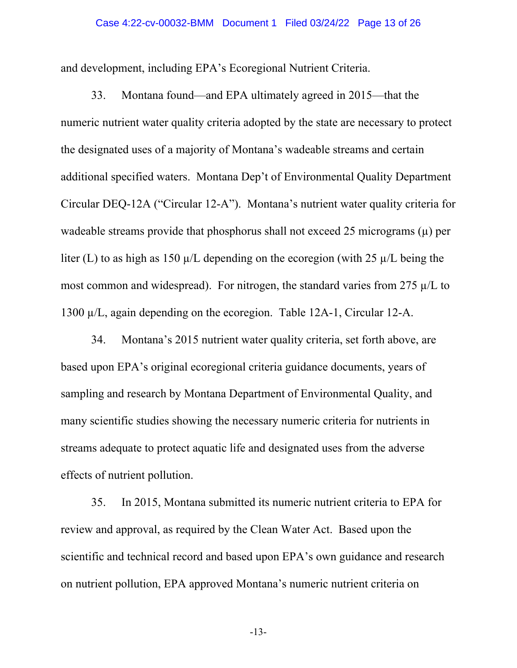and development, including EPA's Ecoregional Nutrient Criteria.

33. Montana found—and EPA ultimately agreed in 2015—that the numeric nutrient water quality criteria adopted by the state are necessary to protect the designated uses of a majority of Montana's wadeable streams and certain additional specified waters. Montana Dep't of Environmental Quality Department Circular DEQ-12A ("Circular 12-A"). Montana's nutrient water quality criteria for wadeable streams provide that phosphorus shall not exceed 25 micrograms  $(\mu)$  per liter (L) to as high as 150  $\mu$ /L depending on the ecoregion (with 25  $\mu$ /L being the most common and widespread). For nitrogen, the standard varies from 275  $\mu$ /L to 1300 µ/L, again depending on the ecoregion. Table 12A-1, Circular 12-A.

34. Montana's 2015 nutrient water quality criteria, set forth above, are based upon EPA's original ecoregional criteria guidance documents, years of sampling and research by Montana Department of Environmental Quality, and many scientific studies showing the necessary numeric criteria for nutrients in streams adequate to protect aquatic life and designated uses from the adverse effects of nutrient pollution.

35. In 2015, Montana submitted its numeric nutrient criteria to EPA for review and approval, as required by the Clean Water Act. Based upon the scientific and technical record and based upon EPA's own guidance and research on nutrient pollution, EPA approved Montana's numeric nutrient criteria on

-13-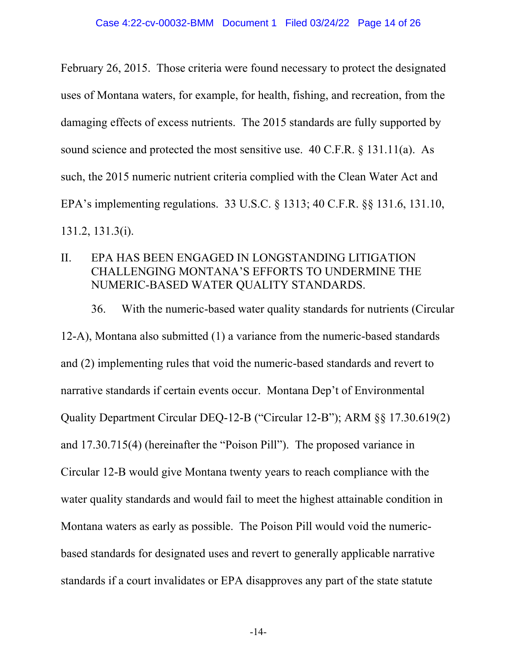February 26, 2015. Those criteria were found necessary to protect the designated uses of Montana waters, for example, for health, fishing, and recreation, from the damaging effects of excess nutrients. The 2015 standards are fully supported by sound science and protected the most sensitive use. 40 C.F.R. § 131.11(a). As such, the 2015 numeric nutrient criteria complied with the Clean Water Act and EPA's implementing regulations. 33 U.S.C. § 1313; 40 C.F.R. §§ 131.6, 131.10, 131.2, 131.3(i).

II. EPA HAS BEEN ENGAGED IN LONGSTANDING LITIGATION CHALLENGING MONTANA'S EFFORTS TO UNDERMINE THE NUMERIC-BASED WATER QUALITY STANDARDS.

36. With the numeric-based water quality standards for nutrients (Circular 12-A), Montana also submitted (1) a variance from the numeric-based standards and (2) implementing rules that void the numeric-based standards and revert to narrative standards if certain events occur. Montana Dep't of Environmental Quality Department Circular DEQ-12-B ("Circular 12-B"); ARM §§ 17.30.619(2) and 17.30.715(4) (hereinafter the "Poison Pill"). The proposed variance in Circular 12-B would give Montana twenty years to reach compliance with the water quality standards and would fail to meet the highest attainable condition in Montana waters as early as possible. The Poison Pill would void the numericbased standards for designated uses and revert to generally applicable narrative standards if a court invalidates or EPA disapproves any part of the state statute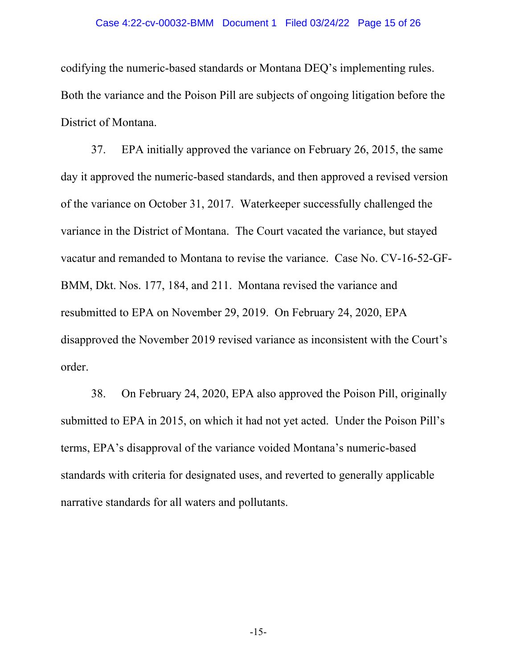### Case 4:22-cv-00032-BMM Document 1 Filed 03/24/22 Page 15 of 26

codifying the numeric-based standards or Montana DEQ's implementing rules. Both the variance and the Poison Pill are subjects of ongoing litigation before the District of Montana.

37. EPA initially approved the variance on February 26, 2015, the same day it approved the numeric-based standards, and then approved a revised version of the variance on October 31, 2017. Waterkeeper successfully challenged the variance in the District of Montana. The Court vacated the variance, but stayed vacatur and remanded to Montana to revise the variance. Case No. CV-16-52-GF-BMM, Dkt. Nos. 177, 184, and 211. Montana revised the variance and resubmitted to EPA on November 29, 2019. On February 24, 2020, EPA disapproved the November 2019 revised variance as inconsistent with the Court's order.

38. On February 24, 2020, EPA also approved the Poison Pill, originally submitted to EPA in 2015, on which it had not yet acted. Under the Poison Pill's terms, EPA's disapproval of the variance voided Montana's numeric-based standards with criteria for designated uses, and reverted to generally applicable narrative standards for all waters and pollutants.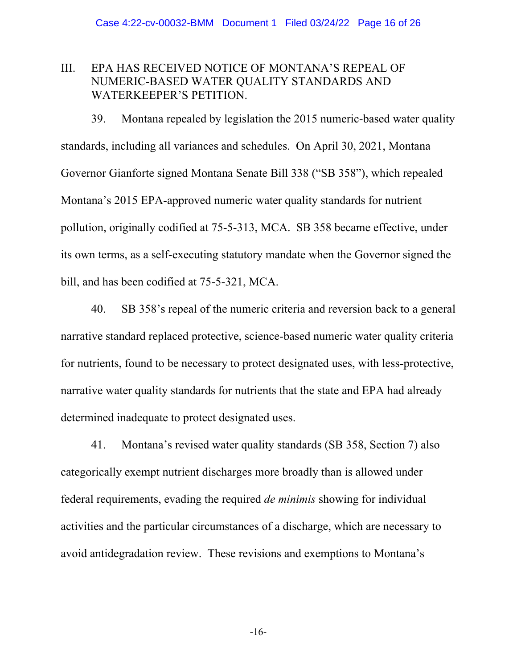## III. EPA HAS RECEIVED NOTICE OF MONTANA'S REPEAL OF NUMERIC-BASED WATER QUALITY STANDARDS AND WATERKEEPER'S PETITION.

39. Montana repealed by legislation the 2015 numeric-based water quality standards, including all variances and schedules. On April 30, 2021, Montana Governor Gianforte signed Montana Senate Bill 338 ("SB 358"), which repealed Montana's 2015 EPA-approved numeric water quality standards for nutrient pollution, originally codified at 75-5-313, MCA. SB 358 became effective, under its own terms, as a self-executing statutory mandate when the Governor signed the bill, and has been codified at 75-5-321, MCA.

40. SB 358's repeal of the numeric criteria and reversion back to a general narrative standard replaced protective, science-based numeric water quality criteria for nutrients, found to be necessary to protect designated uses, with less-protective, narrative water quality standards for nutrients that the state and EPA had already determined inadequate to protect designated uses.

41. Montana's revised water quality standards (SB 358, Section 7) also categorically exempt nutrient discharges more broadly than is allowed under federal requirements, evading the required *de minimis* showing for individual activities and the particular circumstances of a discharge, which are necessary to avoid antidegradation review. These revisions and exemptions to Montana's

-16-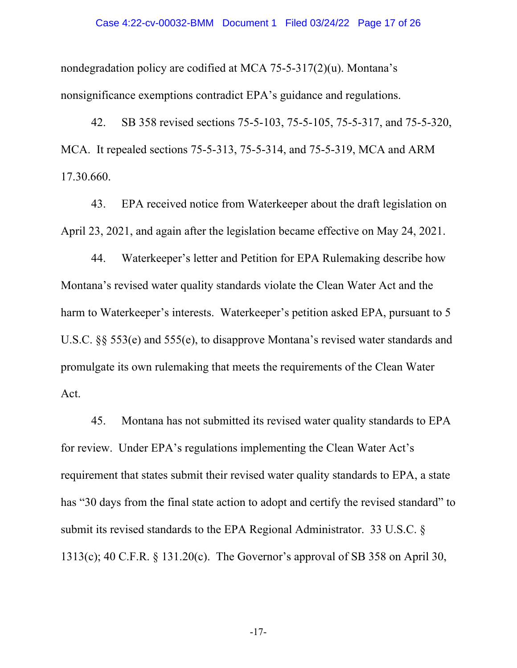#### Case 4:22-cv-00032-BMM Document 1 Filed 03/24/22 Page 17 of 26

nondegradation policy are codified at MCA 75-5-317(2)(u). Montana's nonsignificance exemptions contradict EPA's guidance and regulations.

42. SB 358 revised sections 75-5-103, 75-5-105, 75-5-317, and 75-5-320, MCA. It repealed sections 75-5-313, 75-5-314, and 75-5-319, MCA and ARM 17.30.660.

43. EPA received notice from Waterkeeper about the draft legislation on April 23, 2021, and again after the legislation became effective on May 24, 2021.

44. Waterkeeper's letter and Petition for EPA Rulemaking describe how Montana's revised water quality standards violate the Clean Water Act and the harm to Waterkeeper's interests. Waterkeeper's petition asked EPA, pursuant to 5 U.S.C. §§ 553(e) and 555(e), to disapprove Montana's revised water standards and promulgate its own rulemaking that meets the requirements of the Clean Water Act.

45. Montana has not submitted its revised water quality standards to EPA for review. Under EPA's regulations implementing the Clean Water Act's requirement that states submit their revised water quality standards to EPA, a state has "30 days from the final state action to adopt and certify the revised standard" to submit its revised standards to the EPA Regional Administrator. 33 U.S.C. § 1313(c); 40 C.F.R. § 131.20(c). The Governor's approval of SB 358 on April 30,

-17-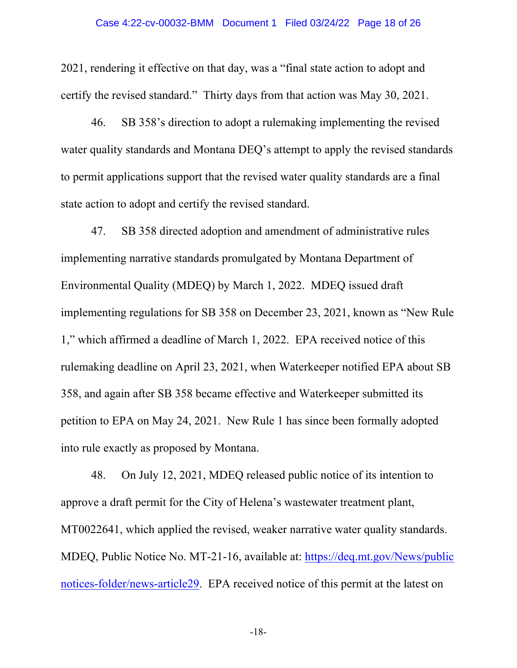### Case 4:22-cv-00032-BMM Document 1 Filed 03/24/22 Page 18 of 26

2021, rendering it effective on that day, was a "final state action to adopt and certify the revised standard." Thirty days from that action was May 30, 2021.

46. SB 358's direction to adopt a rulemaking implementing the revised water quality standards and Montana DEQ's attempt to apply the revised standards to permit applications support that the revised water quality standards are a final state action to adopt and certify the revised standard.

47. SB 358 directed adoption and amendment of administrative rules implementing narrative standards promulgated by Montana Department of Environmental Quality (MDEQ) by March 1, 2022. MDEQ issued draft implementing regulations for SB 358 on December 23, 2021, known as "New Rule 1," which affirmed a deadline of March 1, 2022. EPA received notice of this rulemaking deadline on April 23, 2021, when Waterkeeper notified EPA about SB 358, and again after SB 358 became effective and Waterkeeper submitted its petition to EPA on May 24, 2021. New Rule 1 has since been formally adopted into rule exactly as proposed by Montana.

48. On July 12, 2021, MDEQ released public notice of its intention to approve a draft permit for the City of Helena's wastewater treatment plant, MT0022641, which applied the revised, weaker narrative water quality standards. MDEQ, Public Notice No. MT-21-16, available at: https://deq.mt.gov/News/public notices-folder/news-article29. EPA received notice of this permit at the latest on

-18-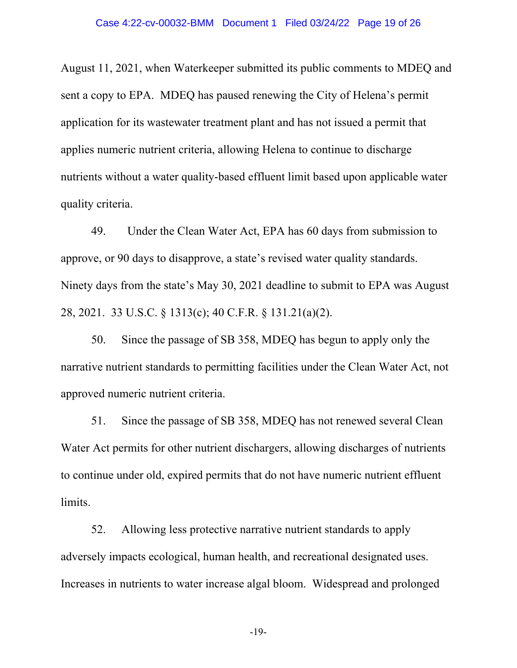August 11, 2021, when Waterkeeper submitted its public comments to MDEQ and sent a copy to EPA. MDEQ has paused renewing the City of Helena's permit application for its wastewater treatment plant and has not issued a permit that applies numeric nutrient criteria, allowing Helena to continue to discharge nutrients without a water quality-based effluent limit based upon applicable water quality criteria.

49. Under the Clean Water Act, EPA has 60 days from submission to approve, or 90 days to disapprove, a state's revised water quality standards. Ninety days from the state's May 30, 2021 deadline to submit to EPA was August 28, 2021. 33 U.S.C. § 1313(c); 40 C.F.R. § 131.21(a)(2).

50. Since the passage of SB 358, MDEQ has begun to apply only the narrative nutrient standards to permitting facilities under the Clean Water Act, not approved numeric nutrient criteria.

51. Since the passage of SB 358, MDEQ has not renewed several Clean Water Act permits for other nutrient dischargers, allowing discharges of nutrients to continue under old, expired permits that do not have numeric nutrient effluent limits.

52. Allowing less protective narrative nutrient standards to apply adversely impacts ecological, human health, and recreational designated uses. Increases in nutrients to water increase algal bloom. Widespread and prolonged

-19-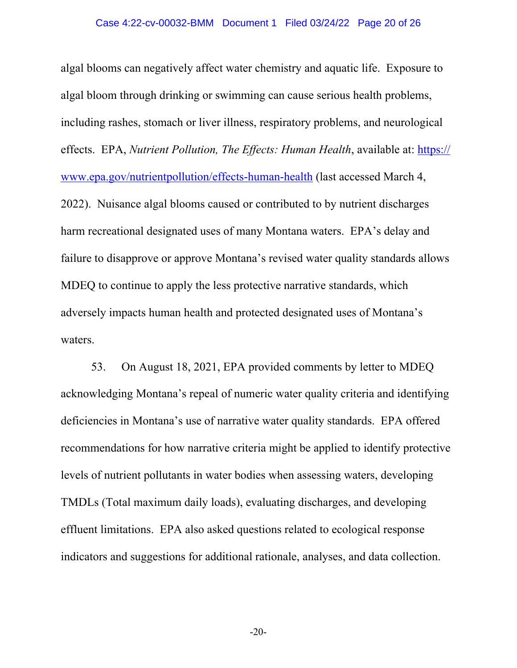algal blooms can negatively affect water chemistry and aquatic life. Exposure to algal bloom through drinking or swimming can cause serious health problems, including rashes, stomach or liver illness, respiratory problems, and neurological effects. EPA, *Nutrient Pollution, The Effects: Human Health*, available at: https:// www.epa.gov/nutrientpollution/effects-human-health (last accessed March 4, 2022). Nuisance algal blooms caused or contributed to by nutrient discharges harm recreational designated uses of many Montana waters. EPA's delay and failure to disapprove or approve Montana's revised water quality standards allows MDEQ to continue to apply the less protective narrative standards, which adversely impacts human health and protected designated uses of Montana's waters.

53. On August 18, 2021, EPA provided comments by letter to MDEQ acknowledging Montana's repeal of numeric water quality criteria and identifying deficiencies in Montana's use of narrative water quality standards. EPA offered recommendations for how narrative criteria might be applied to identify protective levels of nutrient pollutants in water bodies when assessing waters, developing TMDLs (Total maximum daily loads), evaluating discharges, and developing effluent limitations. EPA also asked questions related to ecological response indicators and suggestions for additional rationale, analyses, and data collection.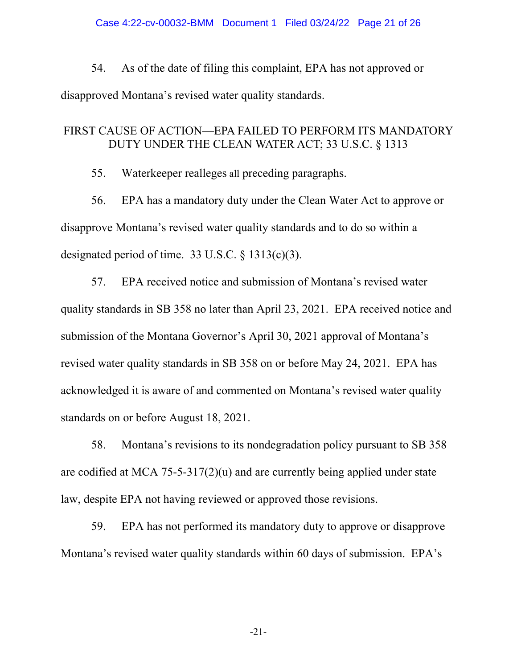54. As of the date of filing this complaint, EPA has not approved or disapproved Montana's revised water quality standards.

## FIRST CAUSE OF ACTION—EPA FAILED TO PERFORM ITS MANDATORY DUTY UNDER THE CLEAN WATER ACT; 33 U.S.C. § 1313

55. Waterkeeper realleges all preceding paragraphs.

56. EPA has a mandatory duty under the Clean Water Act to approve or disapprove Montana's revised water quality standards and to do so within a designated period of time. 33 U.S.C. § 1313(c)(3).

57. EPA received notice and submission of Montana's revised water quality standards in SB 358 no later than April 23, 2021. EPA received notice and submission of the Montana Governor's April 30, 2021 approval of Montana's revised water quality standards in SB 358 on or before May 24, 2021. EPA has acknowledged it is aware of and commented on Montana's revised water quality standards on or before August 18, 2021.

58. Montana's revisions to its nondegradation policy pursuant to SB 358 are codified at MCA 75-5-317(2)(u) and are currently being applied under state law, despite EPA not having reviewed or approved those revisions.

59. EPA has not performed its mandatory duty to approve or disapprove Montana's revised water quality standards within 60 days of submission. EPA's

-21-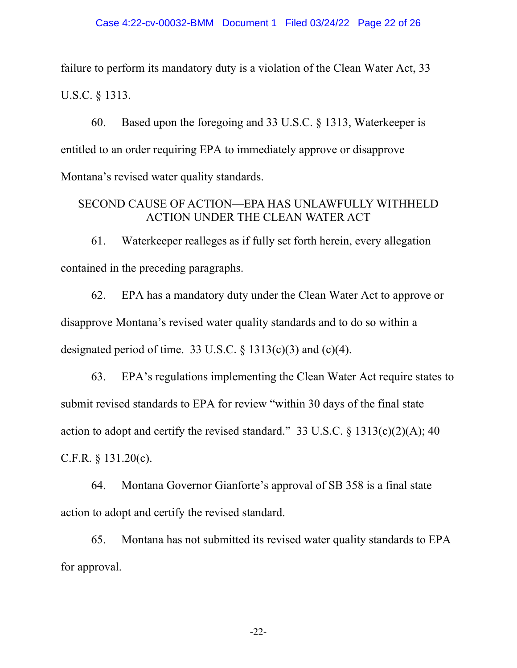failure to perform its mandatory duty is a violation of the Clean Water Act, 33 U.S.C. § 1313.

60. Based upon the foregoing and 33 U.S.C. § 1313, Waterkeeper is entitled to an order requiring EPA to immediately approve or disapprove Montana's revised water quality standards.

## SECOND CAUSE OF ACTION—EPA HAS UNLAWFULLY WITHHELD ACTION UNDER THE CLEAN WATER ACT

61. Waterkeeper realleges as if fully set forth herein, every allegation contained in the preceding paragraphs.

62. EPA has a mandatory duty under the Clean Water Act to approve or disapprove Montana's revised water quality standards and to do so within a designated period of time. 33 U.S.C.  $\S$  1313(c)(3) and (c)(4).

63. EPA's regulations implementing the Clean Water Act require states to submit revised standards to EPA for review "within 30 days of the final state action to adopt and certify the revised standard." 33 U.S.C.  $\S$  1313(c)(2)(A); 40 C.F.R. § 131.20(c).

64. Montana Governor Gianforte's approval of SB 358 is a final state action to adopt and certify the revised standard.

65. Montana has not submitted its revised water quality standards to EPA for approval.

-22-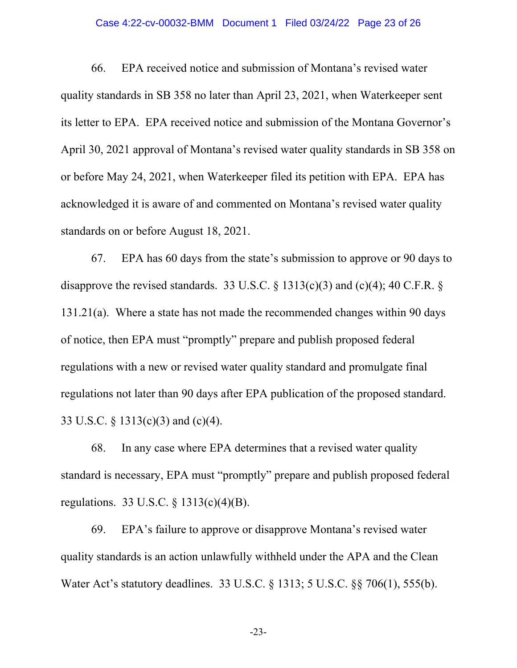### Case 4:22-cv-00032-BMM Document 1 Filed 03/24/22 Page 23 of 26

66. EPA received notice and submission of Montana's revised water quality standards in SB 358 no later than April 23, 2021, when Waterkeeper sent its letter to EPA. EPA received notice and submission of the Montana Governor's April 30, 2021 approval of Montana's revised water quality standards in SB 358 on or before May 24, 2021, when Waterkeeper filed its petition with EPA. EPA has acknowledged it is aware of and commented on Montana's revised water quality standards on or before August 18, 2021.

67. EPA has 60 days from the state's submission to approve or 90 days to disapprove the revised standards. 33 U.S.C. § 1313(c)(3) and (c)(4); 40 C.F.R. § 131.21(a). Where a state has not made the recommended changes within 90 days of notice, then EPA must "promptly" prepare and publish proposed federal regulations with a new or revised water quality standard and promulgate final regulations not later than 90 days after EPA publication of the proposed standard. 33 U.S.C. § 1313(c)(3) and (c)(4).

68. In any case where EPA determines that a revised water quality standard is necessary, EPA must "promptly" prepare and publish proposed federal regulations. 33 U.S.C. § 1313(c)(4)(B).

69. EPA's failure to approve or disapprove Montana's revised water quality standards is an action unlawfully withheld under the APA and the Clean Water Act's statutory deadlines. 33 U.S.C. § 1313; 5 U.S.C. §§ 706(1), 555(b).

-23-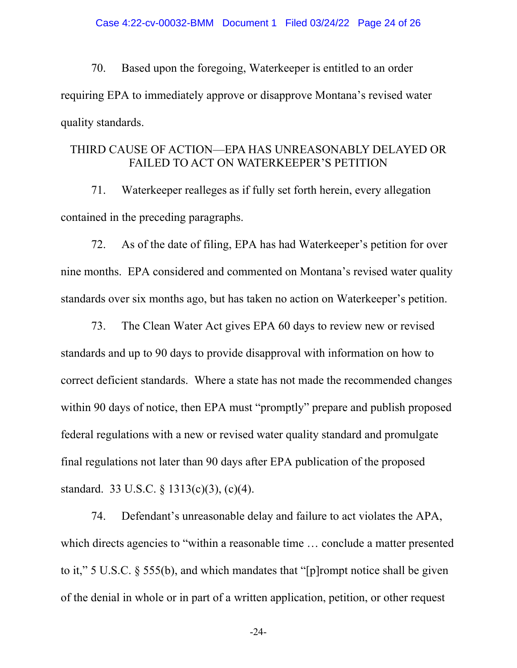70. Based upon the foregoing, Waterkeeper is entitled to an order requiring EPA to immediately approve or disapprove Montana's revised water quality standards.

## THIRD CAUSE OF ACTION—EPA HAS UNREASONABLY DELAYED OR FAILED TO ACT ON WATERKEEPER'S PETITION

71. Waterkeeper realleges as if fully set forth herein, every allegation contained in the preceding paragraphs.

72. As of the date of filing, EPA has had Waterkeeper's petition for over nine months. EPA considered and commented on Montana's revised water quality standards over six months ago, but has taken no action on Waterkeeper's petition.

73. The Clean Water Act gives EPA 60 days to review new or revised standards and up to 90 days to provide disapproval with information on how to correct deficient standards. Where a state has not made the recommended changes within 90 days of notice, then EPA must "promptly" prepare and publish proposed federal regulations with a new or revised water quality standard and promulgate final regulations not later than 90 days after EPA publication of the proposed standard. 33 U.S.C. § 1313(c)(3), (c)(4).

74. Defendant's unreasonable delay and failure to act violates the APA, which directs agencies to "within a reasonable time ... conclude a matter presented to it," 5 U.S.C. § 555(b), and which mandates that "[p]rompt notice shall be given of the denial in whole or in part of a written application, petition, or other request

-24-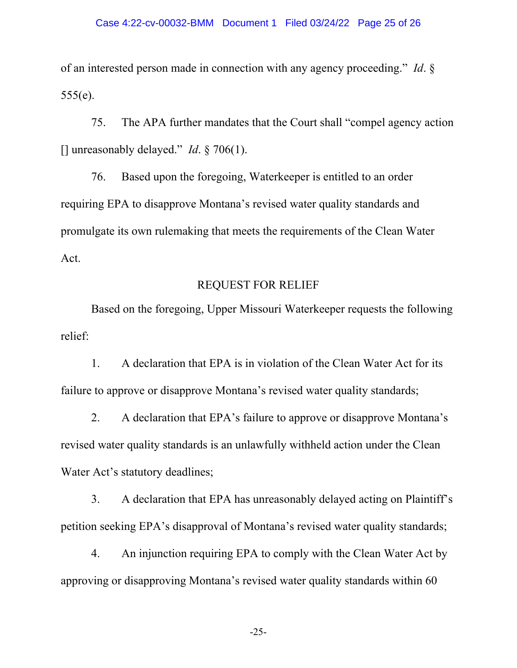of an interested person made in connection with any agency proceeding." *Id*. §  $555(e)$ .

75. The APA further mandates that the Court shall "compel agency action [] unreasonably delayed." *Id*. § 706(1).

76. Based upon the foregoing, Waterkeeper is entitled to an order requiring EPA to disapprove Montana's revised water quality standards and promulgate its own rulemaking that meets the requirements of the Clean Water Act.

# REQUEST FOR RELIEF

Based on the foregoing, Upper Missouri Waterkeeper requests the following relief:

1. A declaration that EPA is in violation of the Clean Water Act for its failure to approve or disapprove Montana's revised water quality standards;

2. A declaration that EPA's failure to approve or disapprove Montana's revised water quality standards is an unlawfully withheld action under the Clean Water Act's statutory deadlines;

3. A declaration that EPA has unreasonably delayed acting on Plaintiff's petition seeking EPA's disapproval of Montana's revised water quality standards;

4. An injunction requiring EPA to comply with the Clean Water Act by approving or disapproving Montana's revised water quality standards within 60

-25-